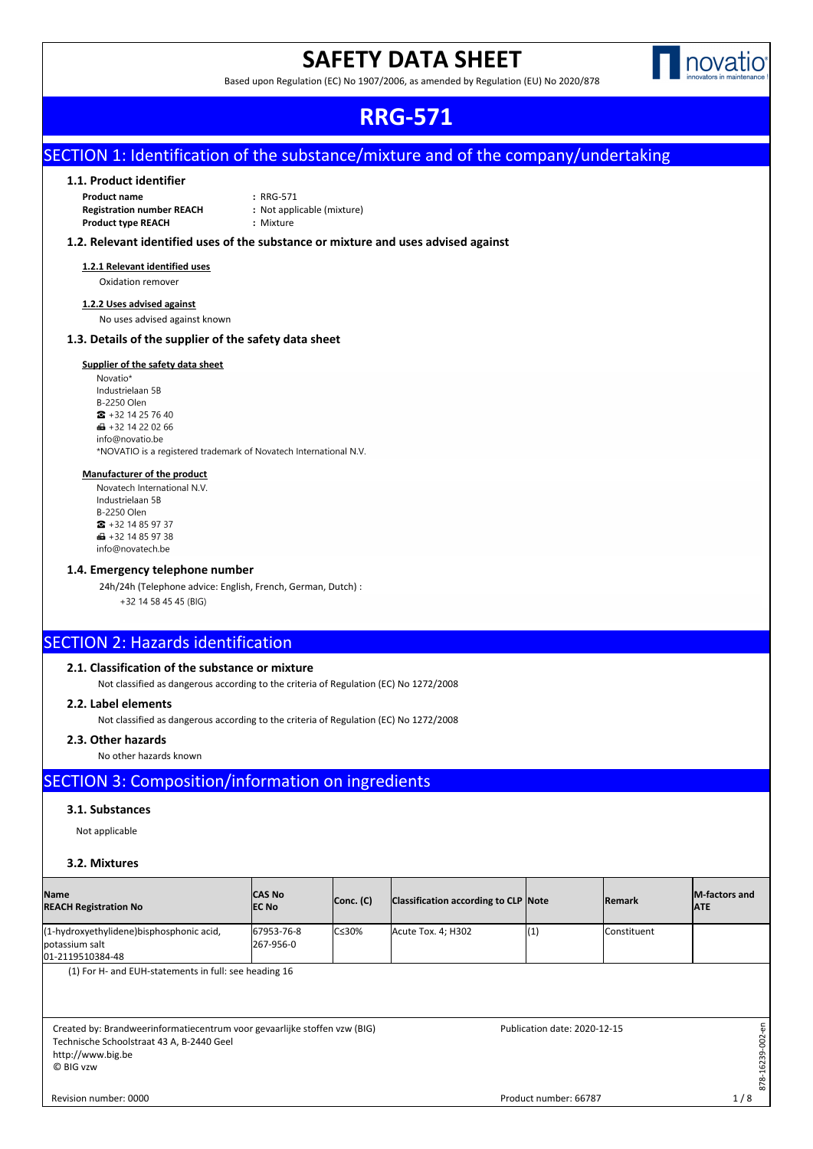# **SAFETY DATA SHEET**





## Publication date: 2020-12-15 Product number: 66787 Revision number: 0000 **RRG-571**

# SECTION 1: Identification of the substance/mixture and of the company/undertaking

## **1.1. Product identifier**

**Product name :** RRG-571 **Registration number REACH :** Not applicable (mixture) **Product type REACH :** Mixture

## **1.2. Relevant identified uses of the substance or mixture and uses advised against**

**1.2.1 Relevant identified uses** Oxidation remover

**1.2.2 Uses advised against**

No uses advised against known

## **1.3. Details of the supplier of the safety data sheet**

## **Supplier of the safety data sheet**

Novatio\* Industrielaan 5B **B-2250 Olen**  $\frac{1}{2}$  + 32 14 25 76 40 **■ +32 14 22 02 66** info@novatio.be \*NOVATIO is a registered trademark of Novatech International N.V.

#### **Manufacturer of the product**

Novatech International N.V. Industrielaan 5B **B-2250 Olen**  $\bullet$  +32 14 85 97 37  $\bigoplus$  +32 14 85 97 38 info@novatech.be

#### **1.4. Emergency telephone number**

24h/24h (Telephone advice: English, French, German, Dutch) : +32 14 58 45 45 (BIG)

## SECTION 2: Hazards identification

## **2.1. Classification of the substance or mixture**

Not classified as dangerous according to the criteria of Regulation (EC) No 1272/2008

## **2.2. Label elements**

Not classified as dangerous according to the criteria of Regulation (EC) No 1272/2008

## **2.3. Other hazards**

No other hazards known

# SECTION 3: Composition/information on ingredients

## **3.1. Substances**

Not applicable

## **3.2. Mixtures**

| <b>Name</b><br><b>REACH Registration No</b>                                                                                                              | <b>CAS No</b><br><b>IEC No</b> | Conc. (C)     | Classification according to CLP Note |                              | <b>lRemark</b>       | <b>M-factors and</b><br><b>ATE</b> |
|----------------------------------------------------------------------------------------------------------------------------------------------------------|--------------------------------|---------------|--------------------------------------|------------------------------|----------------------|------------------------------------|
| (1-hydroxyethylidene)bisphosphonic acid,<br>potassium salt<br>01-2119510384-48                                                                           | 67953-76-8<br>l267-956-0       | $C \leq 30\%$ | Acute Tox. 4; H302                   | (1)                          | <b>l</b> Constituent |                                    |
| (1) For H- and EUH-statements in full: see heading 16                                                                                                    |                                |               |                                      |                              |                      |                                    |
| Created by: Brandweerinformatiecentrum voor gevaarlijke stoffen vzw (BIG)<br>Technische Schoolstraat 43 A, B-2440 Geel<br>http://www.big.be<br>C BIG vzw |                                |               |                                      | Publication date: 2020-12-15 |                      | 16239-002-en<br>878                |
| Revision number: 0000                                                                                                                                    |                                |               |                                      | Product number: 66787        |                      | 1/8                                |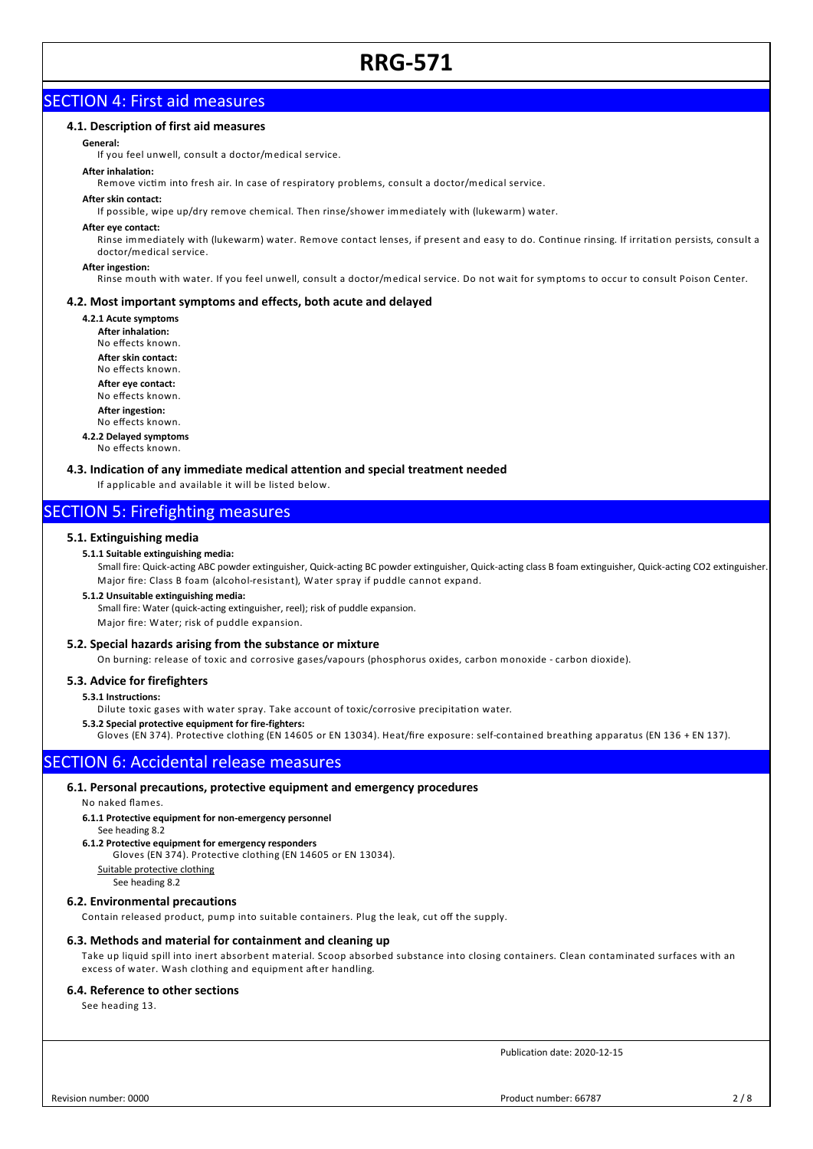# SECTION 4: First aid measures

## **4.1. Description of first aid measures**

#### **General:**

If you feel unwell, consult a doctor/medical service.

#### **After inhalation:**

Remove victim into fresh air. In case of respiratory problems, consult a doctor/medical service.

## **After skin contact:**

If possible, wipe up/dry remove chemical. Then rinse/shower immediately with (lukewarm) water.

#### **After eye contact:**

Rinse immediately with (lukewarm) water. Remove contact lenses, if present and easy to do. Continue rinsing. If irritation persists, consult a doctor/medical service.

#### **After ingestion:**

Rinse mouth with water. If you feel unwell, consult a doctor/medical service. Do not wait for symptoms to occur to consult Poison Center.

#### **4.2. Most important symptoms and effects, both acute and delayed**

**4.2.1 Acute symptoms After inhalation:** No effects known. **After skin contact:** No effects known. **After eye contact:** No effects known.

**After ingestion:**

No effects known.

**4.2.2 Delayed symptoms**

## No effects known.

### **4.3. Indication of any immediate medical attention and special treatment needed**

If applicable and available it will be listed below.

# SECTION 5: Firefighting measures

#### **5.1. Extinguishing media**

#### **5.1.1 Suitable extinguishing media:**

Small fire: Quick-acting ABC powder extinguisher, Quick-acting BC powder extinguisher, Quick-acting class B foam extinguisher, Quick-acting CO2 extinguisher. Major fire: Class B foam (alcohol-resistant), Water spray if puddle cannot expand.

#### **5.1.2 Unsuitable extinguishing media:**

Small fire: Water (quick-acting extinguisher, reel); risk of puddle expansion.

Major fire: Water; risk of puddle expansion.

#### **5.2. Special hazards arising from the substance or mixture**

On burning: release of toxic and corrosive gases/vapours (phosphorus oxides, carbon monoxide - carbon dioxide).

## **5.3. Advice for firefighters**

## **5.3.1 Instructions:**

Dilute toxic gases with water spray. Take account of toxic/corrosive precipitation water.

**5.3.2 Special protective equipment for fire-fighters:**

Gloves (EN 374). Protective clothing (EN 14605 or EN 13034). Heat/fire exposure: self-contained breathing apparatus (EN 136 + EN 137).

## SECTION 6: Accidental release measures

#### **6.1. Personal precautions, protective equipment and emergency procedures**

## No naked flames.

## **6.1.1 Protective equipment for non-emergency personnel**

## See heading 8.2

## **6.1.2 Protective equipment for emergency responders**

Gloves (EN 374). Protective clothing (EN 14605 or EN 13034).

Suitable protective clothing

See heading 8.2

## **6.2. Environmental precautions**

Contain released product, pump into suitable containers. Plug the leak, cut off the supply.

## **6.3. Methods and material for containment and cleaning up**

Take up liquid spill into inert absorbent material. Scoop absorbed substance into closing containers. Clean contaminated surfaces with an excess of water. Wash clothing and equipment after handling.

## **6.4. Reference to other sections**

See heading 13.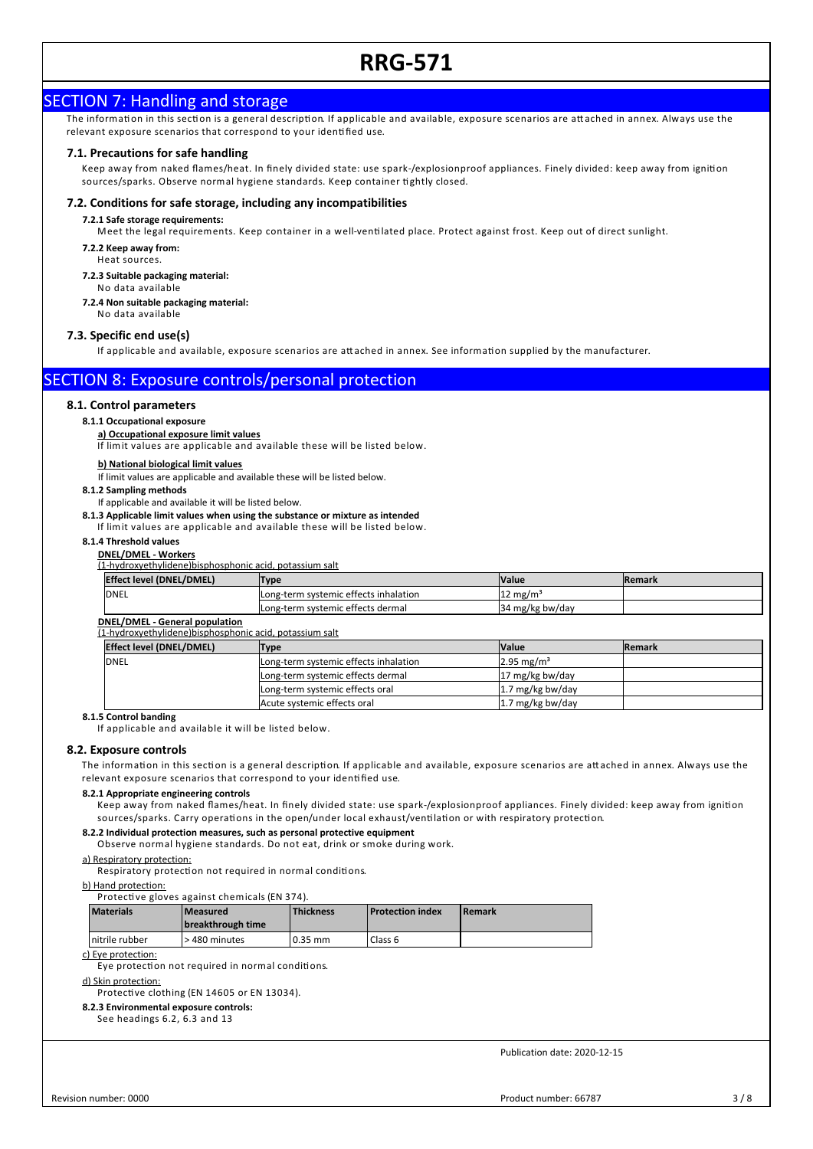## SECTION 7: Handling and storage

The information in this section is a general description. If applicable and available, exposure scenarios are attached in annex. Always use the relevant exposure scenarios that correspond to your identified use.

## **7.1. Precautions for safe handling**

Keep away from naked flames/heat. In finely divided state: use spark-/explosionproof appliances. Finely divided: keep away from ignition sources/sparks. Observe normal hygiene standards. Keep container tightly closed.

## **7.2. Conditions for safe storage, including any incompatibilities**

#### **7.2.1 Safe storage requirements:**

Meet the legal requirements. Keep container in a well-ventilated place. Protect against frost. Keep out of direct sunlight.

**7.2.2 Keep away from:**

Heat sources.

**7.2.3 Suitable packaging material:**

No data available

**7.2.4 Non suitable packaging material:** No data available

## **7.3. Specific end use(s)**

If applicable and available, exposure scenarios are attached in annex. See information supplied by the manufacturer.

# SECTION 8: Exposure controls/personal protection

#### **8.1. Control parameters**

**8.1.1 Occupational exposure**

## **a) Occupational exposure limit values**

If lim it values are applicable and available these will be listed below.

#### **b) National biological limit values**

If limit values are applicable and available these will be listed below.

- **8.1.2 Sampling methods**
	- If applicable and available it will be listed below.
- **8.1.3 Applicable limit values when using the substance or mixture as intended**

If lim it values are applicable and available these will be listed below.

(1-hydroxyethylidene)bisphosphonic acid, potassium salt

**8.1.4 Threshold values**

#### **DNEL/DMEL - Workers**

(1-hydroxyethylidene)bisphosphonic acid, potassium salt

| <b>Effect level (DNEL/DMEL)</b> | Tvpe                                          | <b>Value</b>        | <b>IRemark</b> |
|---------------------------------|-----------------------------------------------|---------------------|----------------|
| <b>IDNEL</b>                    | <b>ILong-term systemic effects inhalation</b> | $12 \text{ mg/m}^3$ |                |
|                                 | Long-term systemic effects dermal             | 34 mg/kg bw/day     |                |

#### **DNEL/DMEL - General population**

| <u>11-ilyul UXVC (ilyiluchc julisphosphonic aciu, potassium sait</u> |                                       |                            |                |
|----------------------------------------------------------------------|---------------------------------------|----------------------------|----------------|
| <b>Effect level (DNEL/DMEL)</b>                                      | Type                                  | <b>Nalue</b>               | <b>IRemark</b> |
| <b>IDNEL</b>                                                         | Long-term systemic effects inhalation | $2.95 \text{ mg/m}^3$      |                |
|                                                                      | Long-term systemic effects dermal     | 117 mg/kg bw/day           |                |
|                                                                      | Long-term systemic effects oral       | $1.7 \text{ mg/kg}$ bw/day |                |
|                                                                      | Acute systemic effects oral           | $1.7 \text{ mg/kg}$ bw/day |                |

## **8.1.5 Control banding**

If applicable and available it will be listed below.

#### **8.2. Exposure controls**

The information in this section is a general description. If applicable and available, exposure scenarios are attached in annex. Always use the relevant exposure scenarios that correspond to your identified use.

#### **8.2.1 Appropriate engineering controls**

Keep away from naked flames/heat. In finely divided state: use spark-/explosionproof appliances. Finely divided: keep away from ignition sources/sparks. Carry operations in the open/under local exhaust/ventilation or with respiratory protection.

### **8.2.2 Individual protection measures, such as personal protective equipment**

Observe normal hygiene standards. Do not eat, drink or smoke during work.

## a) Respiratory protection:

Respiratory protection not required in normal conditions.

#### b) Hand protection:

Protective gloves against chemicals (EN 374).

| <b>Materials</b> | l Measured<br>breakthrough time | <b>Thickness</b> | <b>Protection index</b> | l Remark |
|------------------|---------------------------------|------------------|-------------------------|----------|
| Initrile rubber  | > 480 minutes                   | $0.35$ mm        | Class 6                 |          |

c) Eye protection:

Eye protection not required in normal conditions.

d) Skin protection:

Protective clothing (EN 14605 or EN 13034).

#### **8.2.3 Environmental exposure controls:** See headings 6.2, 6.3 and 13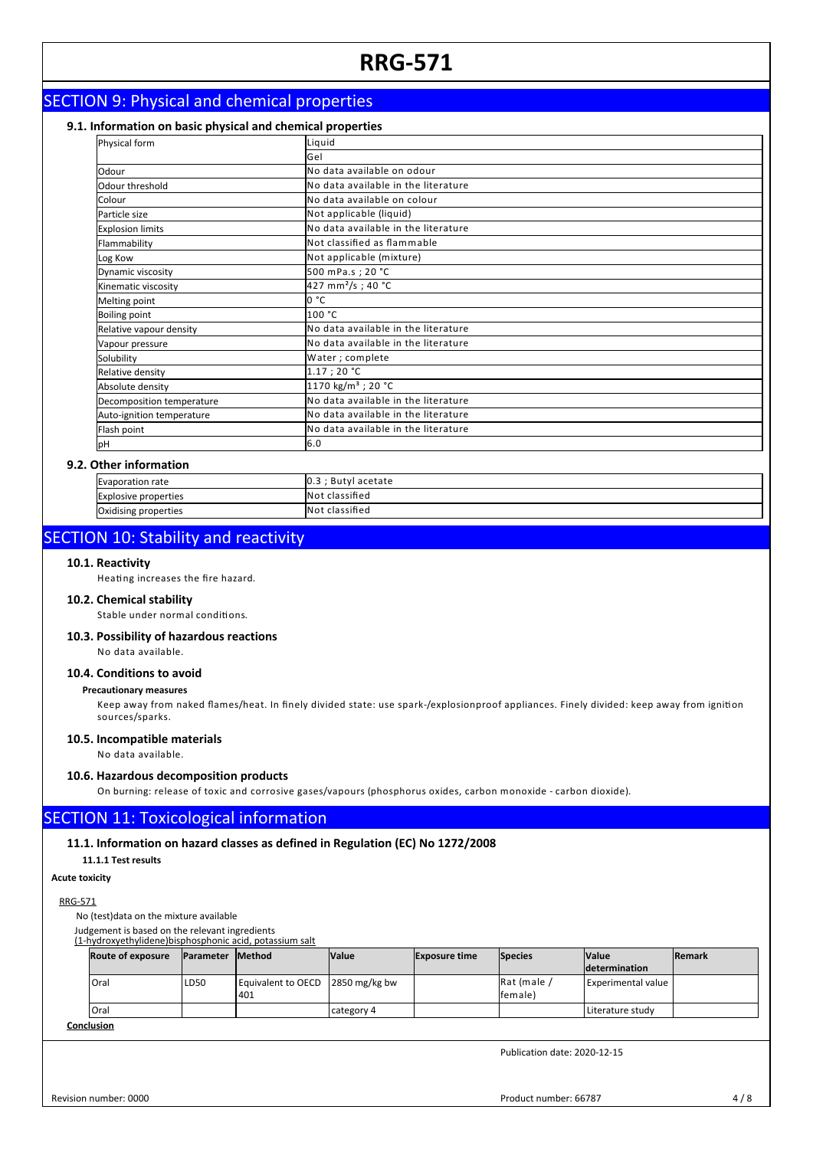# SECTION 9: Physical and chemical properties

## **9.1. Information on basic physical and chemical properties**

| Physical form             | Liquid                              |
|---------------------------|-------------------------------------|
|                           | <b>Gel</b>                          |
| Odour                     | INo data available on odour         |
| Odour threshold           | No data available in the literature |
| Colour                    | No data available on colour         |
| Particle size             | Not applicable (liquid)             |
| <b>Explosion limits</b>   | No data available in the literature |
| Flammability              | Not classified as flammable         |
| Log Kow                   | Not applicable (mixture)            |
| Dynamic viscosity         | 500 mPa.s; 20 °C                    |
| Kinematic viscosity       | 427 mm <sup>2</sup> /s; 40 °C       |
| Melting point             | lo °C                               |
| <b>Boiling point</b>      | 100 °C                              |
| Relative vapour density   | No data available in the literature |
| Vapour pressure           | No data available in the literature |
| Solubility                | Water; complete                     |
| Relative density          | 1.17 ; 20 °C                        |
| Absolute density          | 1170 kg/m <sup>3</sup> ; 20 °C      |
| Decomposition temperature | No data available in the literature |
| Auto-ignition temperature | No data available in the literature |
| Flash point               | No data available in the literature |
| lрН                       | 6.0                                 |

## **9.2. Other information**

| Evaporation rate            | · Butyl acetate       |
|-----------------------------|-----------------------|
| <b>Explosive properties</b> | INot classified       |
| Oxidising properties        | <b>Not classified</b> |
|                             |                       |

# **SECTION 10: Stability and reactivity**

## **10.1. Reactivity**

Heating increases the fire hazard.

#### **10.2. Chemical stability**

Stable under normal conditions.

## **10.3. Possibility of hazardous reactions**

No data available.

### **10.4. Conditions to avoid**

**Precautionary measures**

Keep away from naked flames/heat. In finely divided state: use spark-/explosionproof appliances. Finely divided: keep away from ignition sources/sparks.

## **10.5. Incompatible materials**

No data available.

## **10.6. Hazardous decomposition products**

On burning: release of toxic and corrosive gases/vapours (phosphorus oxides, carbon monoxide - carbon dioxide).

# SECTION 11: Toxicological information

## **11.1. Information on hazard classes as defined in Regulation (EC) No 1272/2008**

## **11.1.1 Test results**

## **Acute toxicity** RRG-571

No (test)data on the mixture available

Judgement is based on the relevant ingredients

(1-hydroxyethylidene)bisphosphonic acid, potassium salt

| <b>Route of exposure</b> | Parameter Method |                                         | <b>Value</b> | <b>Exposure time</b> | <b>Species</b>            | <b>Value</b>              | <b>Remark</b> |
|--------------------------|------------------|-----------------------------------------|--------------|----------------------|---------------------------|---------------------------|---------------|
|                          |                  |                                         |              |                      |                           | <b>determination</b>      |               |
| Oral                     | LD50             | Equivalent to OECD 2850 mg/kg bw<br>401 |              |                      | $Rat$ (male /<br>lfemale) | <b>Experimental value</b> |               |
| <b>Oral</b>              |                  |                                         | category 4   |                      |                           | Literature study          |               |
| المحافظ والمنادر         |                  |                                         |              |                      |                           |                           |               |

**Conclusion**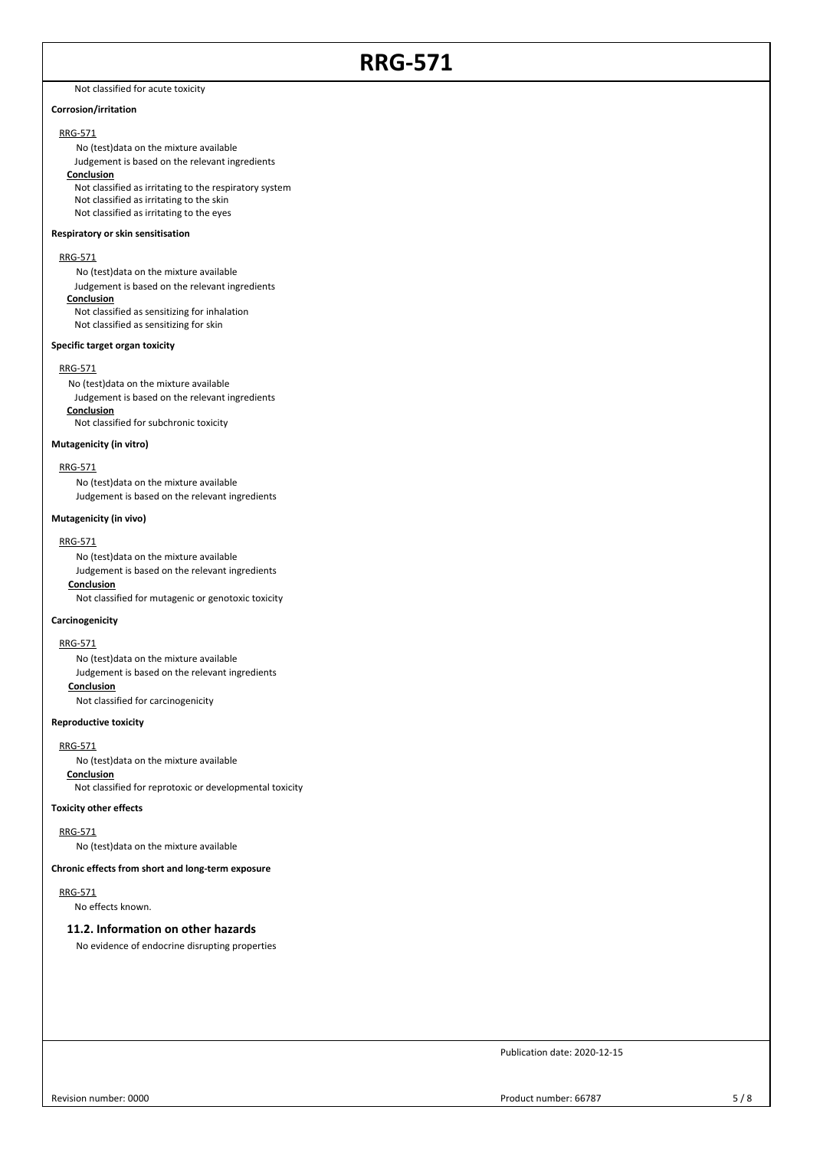Not classified for acute toxicity

## **Corrosion/irritation**

### RRG-571

No (test)data on the mixture available Judgement is based on the relevant ingredients **Conclusion**

Not classified as irritating to the respiratory system Not classified as irritating to the skin Not classified as irritating to the eyes

## **Respiratory or skin sensitisation**

#### RRG-571

No (test)data on the mixture available Judgement is based on the relevant ingredients **Conclusion** Not classified as sensitizing for inhalation Not classified as sensitizing for skin

#### **Specific target organ toxicity**

#### RRG-571

No (test)data on the mixture available Judgement is based on the relevant ingredients **Conclusion** Not classified for subchronic toxicity

#### **Mutagenicity (in vitro)**

#### RRG-571

No (test)data on the mixture available Judgement is based on the relevant ingredients

### **Mutagenicity (in vivo)**

#### RRG-571

No (test)data on the mixture available Judgement is based on the relevant ingredients **Conclusion** Not classified for mutagenic or genotoxic toxicity

## **Carcinogenicity**

RRG-571

No (test)data on the mixture available Judgement is based on the relevant ingredients **Conclusion** Not classified for carcinogenicity

## **Reproductive toxicity**

#### RRG-571

No (test)data on the mixture available

## **Conclusion**

Not classified for reprotoxic or developmental toxicity

## **Toxicity other effects**

RRG-571

No (test)data on the mixture available

#### **Chronic effects from short and long-term exposure**

RRG-571

No effects known.

## **11.2. Information on other hazards**

No evidence of endocrine disrupting properties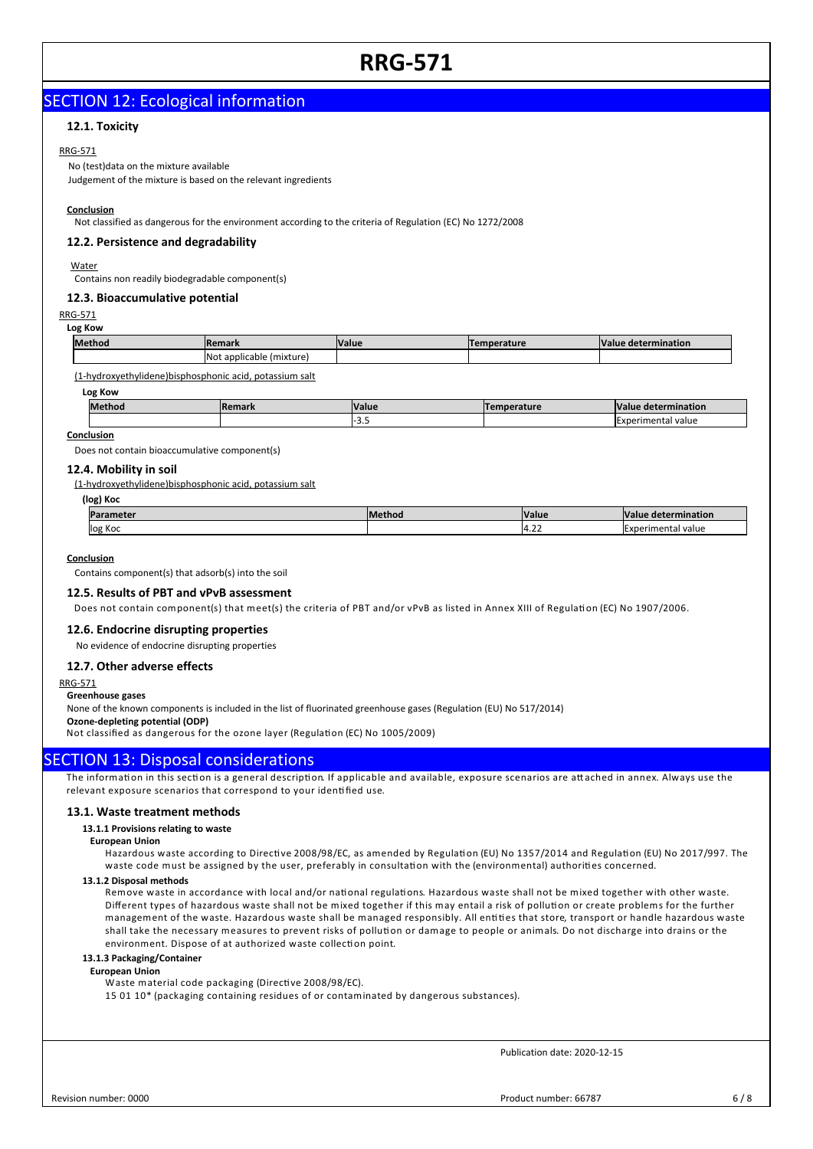# SECTION 12: Ecological information

## **12.1. Toxicity**

#### RRG-571

No (test)data on the mixture available

Judgement of the mixture is based on the relevant ingredients

#### **Conclusion**

Not classified as dangerous for the environment according to the criteria of Regulation (EC) No 1272/2008

## **12.2. Persistence and degradability**

Water

Contains non readily biodegradable component(s)

## **12.3. Bioaccumulative potential**

RRG-571

| Log Kow |                          |              |                    |                     |
|---------|--------------------------|--------------|--------------------|---------------------|
| Method  | lRemark                  | <b>Value</b> | <b>Temperature</b> | Value determination |
|         | Not applicable (mixture) |              |                    |                     |

(1-hydroxyethylidene)bisphosphonic acid, potassium salt

| --------      |      |       |      |                          |
|---------------|------|-------|------|--------------------------|
| <b>Methoo</b> | …аг. | Value | ---- | etermination<br>ne<br>__ |
|               |      | ن.ر_  |      | value<br>'imental        |

#### **Conclusion**

**Log Kow**

Does not contain bioaccumulative component(s)

### **12.4. Mobility in soil**

#### (1-hydroxyethylidene)bisphosphonic acid, potassium salt

**(log) Koc**

| Parameter | . .<br>imethoc | <b>Value</b>               | . .<br>mination<br>.Value<br>dete   |
|-----------|----------------|----------------------------|-------------------------------------|
| log Koc   |                | $\sim$<br>4.2 <sub>4</sub> | value<br>$\sim$<br>xperim.<br>ll di |

#### **Conclusion**

Contains component(s) that adsorb(s) into the soil

## **12.5. Results of PBT and vPvB assessment**

Does not contain component(s) that meet(s) the criteria of PBT and/or vPvB as listed in Annex XIII of Regulation (EC) No 1907/2006.

## **12.6. Endocrine disrupting properties**

No evidence of endocrine disrupting properties

### **12.7. Other adverse effects**

## RRG-571

## **Greenhouse gases**

None of the known components is included in the list of fluorinated greenhouse gases (Regulation (EU) No 517/2014)

**Ozone-depleting potential (ODP)**

Not classified as dangerous for the ozone layer (Regulation (EC) No 1005/2009)

## SECTION 13: Disposal considerations

The information in this section is a general description. If applicable and available, exposure scenarios are attached in annex. Always use the relevant exposure scenarios that correspond to your identified use.

## **13.1. Waste treatment methods**

#### **13.1.1 Provisions relating to waste**

## **European Union**

Hazardous waste according to Directive 2008/98/EC, as amended by Regulation (EU) No 1357/2014 and Regulation (EU) No 2017/997. The waste code must be assigned by the user, preferably in consultation with the (environmental) authorities concerned.

#### **13.1.2 Disposal methods**

Remove waste in accordance with local and/or national regulations. Hazardous waste shall not be mixed together with other waste. Different types of hazardous waste shall not be mixed together if this may entail a risk of pollution or create problems for the further management of the waste. Hazardous waste shall be managed responsibly. All entities that store, transport or handle hazardous waste shall take the necessary measures to prevent risks of pollution or damage to people or animals. Do not discharge into drains or the environment. Dispose of at authorized waste collection point.

#### **13.1.3 Packaging/Container**

## **European Union**

Waste material code packaging (Directive 2008/98/EC).

15 01 10\* (packaging containing residues of or contaminated by dangerous substances).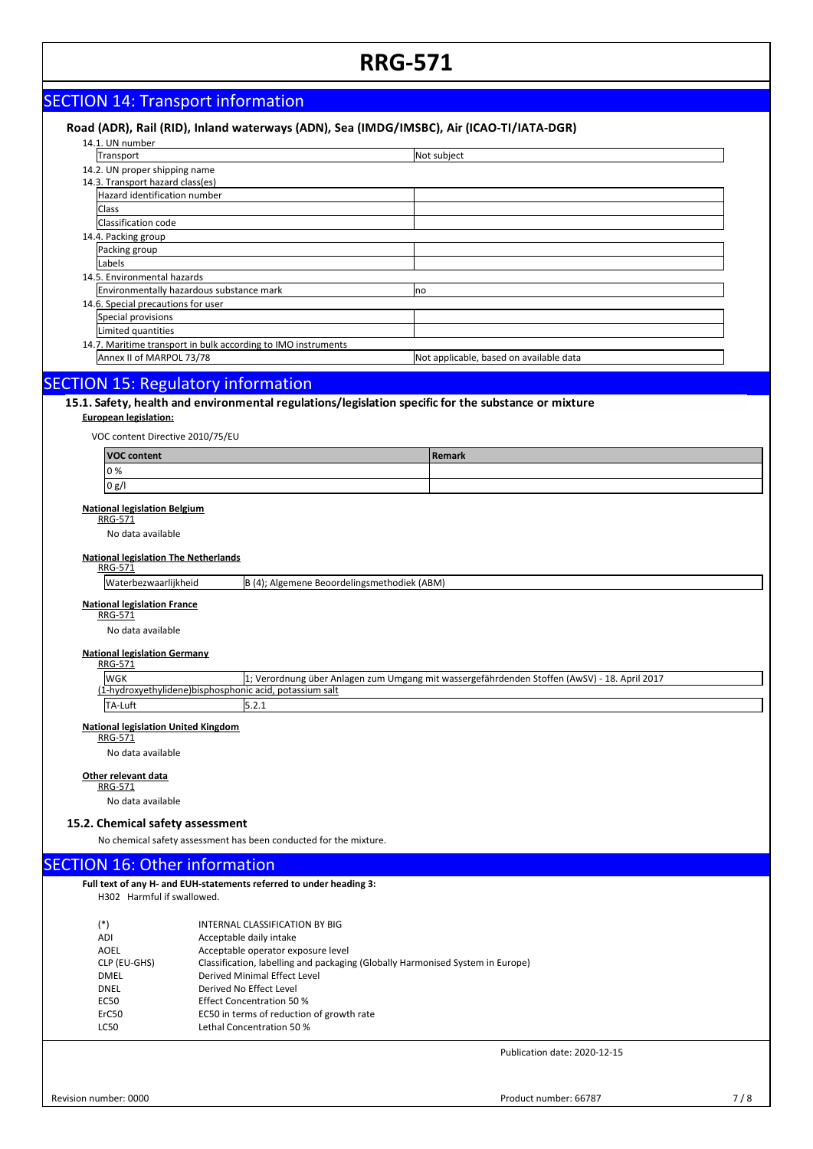# SECTION 14: Transport information

## **Road (ADR), Rail (RID), Inland waterways (ADN), Sea (IMDG/IMSBC), Air (ICAO-TI/IATA-DGR)**

| 14.1. UN number                                               |                                         |
|---------------------------------------------------------------|-----------------------------------------|
| Transport                                                     | Not subject                             |
| 14.2. UN proper shipping name                                 |                                         |
| 14.3. Transport hazard class(es)                              |                                         |
| Hazard identification number                                  |                                         |
| <b>Class</b>                                                  |                                         |
| Classification code                                           |                                         |
| 14.4. Packing group                                           |                                         |
| Packing group                                                 |                                         |
| Labels                                                        |                                         |
| 14.5. Environmental hazards                                   |                                         |
| Environmentally hazardous substance mark                      | <b>Ino</b>                              |
| 14.6. Special precautions for user                            |                                         |
| Special provisions                                            |                                         |
| Limited quantities                                            |                                         |
| 14.7. Maritime transport in bulk according to IMO instruments |                                         |
| Annex II of MARPOL 73/78                                      | Not applicable, based on available data |
|                                                               |                                         |

# SECTION 15: Regulatory information

# 15.1. Safety, health and environmental regulations/legislation specific for the substance or mixture

## **European legislation:**

VOC content Directive 2010/75/EU

| <b>VOC content</b> | Remark |
|--------------------|--------|
| 0%                 |        |
| 0 g/l              |        |

## **National legislation Belgium**

RRG-571 No data available

# **National legislation The Netherlands** RRG-571

| יני היה |              |                                                      |  |  |  |
|---------|--------------|------------------------------------------------------|--|--|--|
|         | <br>ı<br>eit | Ic<br>ABM<br>., Algemen<br>1eiinps<br>:met<br>nr<br> |  |  |  |
|         |              |                                                      |  |  |  |

## **National legislation France**

RRG-571 No data available

#### **National legislation Germany**

RRG-571

| <b>WGK</b>                                              | : Verordnung über Anlagen zum Umgang mit wassergefährdenden Stoffen (AwSV) - 18. April 2017 |  |  |
|---------------------------------------------------------|---------------------------------------------------------------------------------------------|--|--|
| (1-hydroxyethylidene)bisphosphonic acid, potassium salt |                                                                                             |  |  |
| TA-Luft                                                 | .                                                                                           |  |  |

#### **National legislation United Kingdom**

RRG-571 No data available

## **Other relevant data**

RRG-571

No data available

## **15.2. Chemical safety assessment**

No chemical safety assessment has been conducted for the mixture.

## SECTION 16: Other information

**Full text of any H- and EUH-statements referred to under heading 3:** H302 Harmful if swallowed.

| (*)               | INTERNAL CLASSIFICATION BY BIG                                                 |
|-------------------|--------------------------------------------------------------------------------|
| ADI               | Acceptable daily intake                                                        |
| AOEL              | Acceptable operator exposure level                                             |
| CLP (EU-GHS)      | Classification, labelling and packaging (Globally Harmonised System in Europe) |
| DMEL              | Derived Minimal Effect Level                                                   |
| <b>DNEL</b>       | Derived No Effect Level                                                        |
| EC50              | Effect Concentration 50 %                                                      |
| ErC <sub>50</sub> | EC50 in terms of reduction of growth rate                                      |
| LC50              | Lethal Concentration 50 %                                                      |